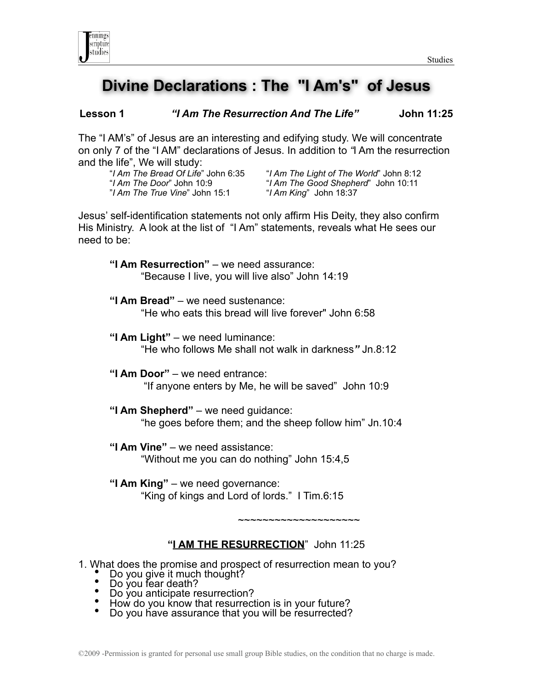

# **Divine Declarations : The "I Am's" of Jesus**

**Lesson 1** *"I Am The Resurrection And The Life"* **John 11:25**

The "I AM's" of Jesus are an interesting and edifying study. We will concentrate on only 7 of the "I AM" declarations of Jesus. In addition to *"*I Am the resurrection and the life", We will study:

| "I Am The Bread Of Life" John 6:35 |
|------------------------------------|
| <i>"I Am The Door</i> " John 10:9  |
| "I Am The True Vine" John 15:1     |

 "*I Am The Bread Of Life*" John 6:35 "*I Am The Light of The World*" John 8:12 "*I Am The Door*" John 10:9 "*I Am The Good Shepherd*" John 10:11 "*I Am The True Vine*" John 15:1 "*I Am King*" John 18:37

Jesus' self-identification statements not only affirm His Deity, they also confirm His Ministry. A look at the list of "I Am" statements, reveals what He sees our need to be:

**"I Am Resurrection"** – we need assurance: "Because I live, you will live also" John 14:19

- **"I Am Bread"** we need sustenance: "He who eats this bread will live forever" John 6:58
- **"I Am Light"** we need luminance: "He who follows Me shall not walk in darkness*"* Jn.8:12
- **"I Am Door"** we need entrance: "If anyone enters by Me, he will be saved" John 10:9
- **"I Am Shepherd"** we need guidance: "he goes before them; and the sheep follow him" Jn.10:4
- **"I Am Vine"** we need assistance: "Without me you can do nothing" John 15:4,5
- **"I Am King"** we need governance: "King of kings and Lord of lords." I Tim.6:15

~~~~~~~~~~~~~~~~~~~~

#### **"I AM THE RESURRECTION**" John 11:25

1. What does the promise and prospect of resurrection mean to you?<br>
■ Do you give it much thought?<br>
■ Do you fear death?<br>
■ Do you anticipate resurrection?<br>
■ How do you know that resurrection is in your future?<br>
■ Do you

- 
- 
- 
-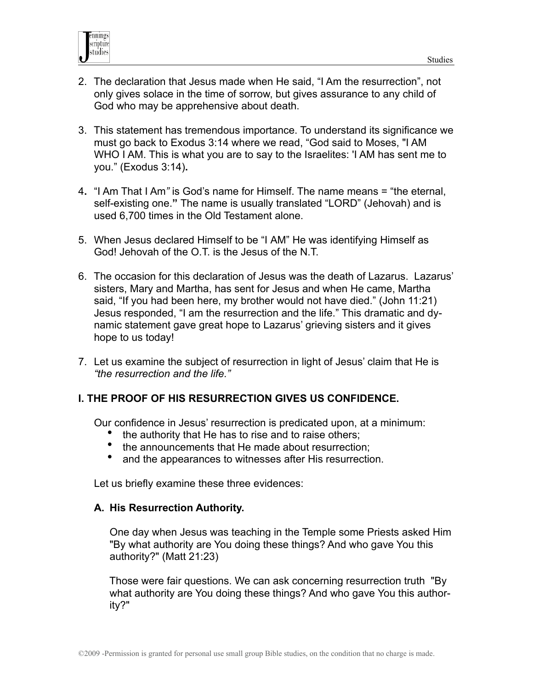

- 2. The declaration that Jesus made when He said, "I Am the resurrection", not only gives solace in the time of sorrow, but gives assurance to any child of God who may be apprehensive about death.
- 3. This statement has tremendous importance. To understand its significance we must go back to Exodus 3:14 where we read, "God said to Moses, "I AM WHO I AM. This is what you are to say to the Israelites: 'I AM has sent me to you." (Exodus 3:14)**.**
- 4**.** "I Am That I Am*"* is God's name for Himself. The name means = "the eternal, self-existing one.**"** The name is usually translated "LORD" (Jehovah) and is used 6,700 times in the Old Testament alone.
- 5. When Jesus declared Himself to be "I AM" He was identifying Himself as God! Jehovah of the O.T. is the Jesus of the N.T.
- 6. The occasion for this declaration of Jesus was the death of Lazarus. Lazarus' sisters, Mary and Martha, has sent for Jesus and when He came, Martha said, "If you had been here, my brother would not have died." (John 11:21) Jesus responded, "I am the resurrection and the life." This dramatic and dynamic statement gave great hope to Lazarus' grieving sisters and it gives hope to us today!
- 7. Let us examine the subject of resurrection in light of Jesus' claim that He is *"the resurrection and the life."*

## **I. THE PROOF OF HIS RESURRECTION GIVES US CONFIDENCE.**

Our confidence in Jesus' resurrection is predicated upon, at a minimum:

- the authority that He has to rise and to raise others;
- the announcements that He made about resurrection;
- and the appearances to witnesses after His resurrection.

Let us briefly examine these three evidences:

#### **A. His Resurrection Authority.**

One day when Jesus was teaching in the Temple some Priests asked Him "By what authority are You doing these things? And who gave You this authority?" (Matt 21:23)

 Those were fair questions. We can ask concerning resurrection truth "By what authority are You doing these things? And who gave You this authority?"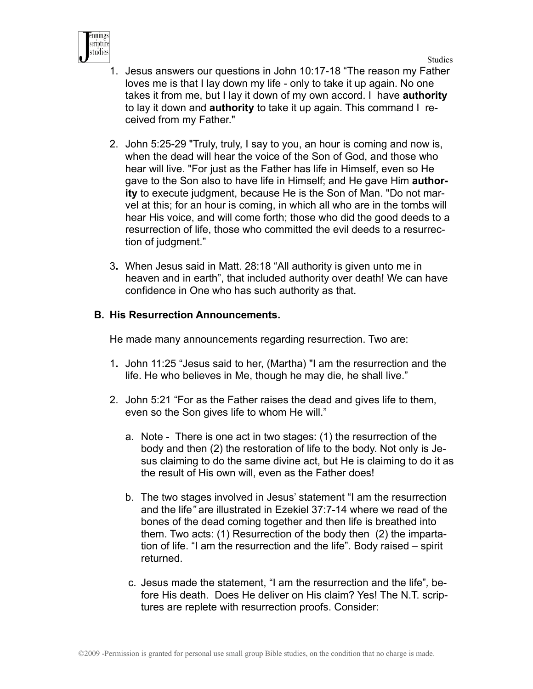



- 1. Jesus answers our questions in John 10:17-18 "The reason my Father loves me is that I lay down my life - only to take it up again. No one takes it from me, but I lay it down of my own accord. I have **authority** to lay it down and **authority** to take it up again. This command I received from my Father."
- 2. John 5:25-29 "Truly, truly, I say to you, an hour is coming and now is, when the dead will hear the voice of the Son of God, and those who hear will live. "For just as the Father has life in Himself, even so He gave to the Son also to have life in Himself; and He gave Him **authority** to execute judgment, because He is the Son of Man. "Do not marvel at this; for an hour is coming, in which all who are in the tombs will hear His voice, and will come forth; those who did the good deeds to a resurrection of life, those who committed the evil deeds to a resurrection of judgment."
- 3**.** When Jesus said in Matt. 28:18 "All authority is given unto me in heaven and in earth", that included authority over death! We can have confidence in One who has such authority as that.

#### **B. His Resurrection Announcements.**

He made many announcements regarding resurrection. Two are:

- 1**.** John 11:25 "Jesus said to her, (Martha) "I am the resurrection and the life. He who believes in Me, though he may die, he shall live."
- 2. John 5:21 "For as the Father raises the dead and gives life to them, even so the Son gives life to whom He will."
	- a. Note There is one act in two stages: (1) the resurrection of the body and then (2) the restoration of life to the body. Not only is Jesus claiming to do the same divine act, but He is claiming to do it as the result of His own will, even as the Father does!
	- b. The two stages involved in Jesus' statement "I am the resurrection and the life*"* are illustrated in Ezekiel 37:7-14 where we read of the bones of the dead coming together and then life is breathed into them. Two acts: (1) Resurrection of the body then (2) the impartation of life. "I am the resurrection and the life". Body raised – spirit returned.
	- c. Jesus made the statement, "I am the resurrection and the life"*,* before His death. Does He deliver on His claim? Yes! The N.T. scriptures are replete with resurrection proofs. Consider: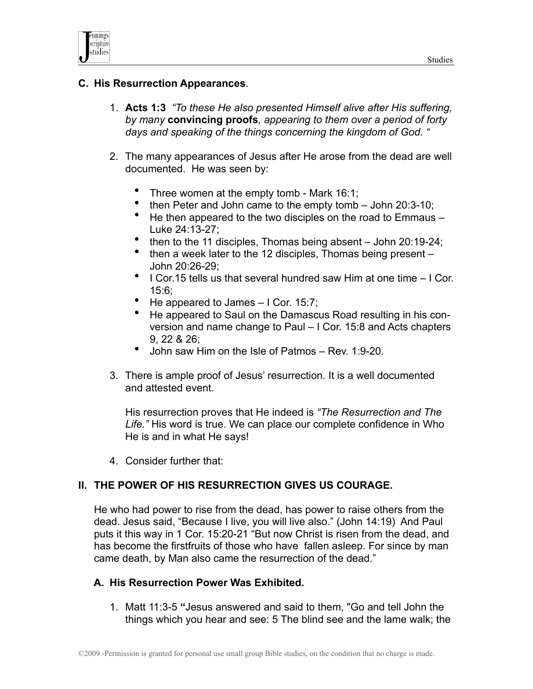



#### **C. His Resurrection Appearances**.

- 1. **Acts 1:3** *"To these He also presented Himself alive after His suffering, by many* **convincing proofs***, appearing to them over a period of forty days and speaking of the things concerning the kingdom of God. "*
- 2. The many appearances of Jesus after He arose from the dead are well documented. He was seen by:
	- Three women at the empty tomb Mark 16:1;
	- then Peter and John came to the empty tomb John 20:3-10;
	- He then appeared to the two disciples on the road to Emmaus Luke 24:13-27;
	- then to the 11 disciples, Thomas being absent John 20:19-24;
	- then a week later to the 12 disciples, Thomas being present John 20:26-29;
	- I Cor.15 tells us that several hundred saw Him at one time I Cor. 15:6;
	- He appeared to James I Cor. 15:7;
	- He appeared to Saul on the Damascus Road resulting in his conversion and name change to Paul – I Cor. 15:8 and Acts chapters 9, 22 & 26;
	- John saw Him on the Isle of Patmos Rev. 1:9-20.
- 3. There is ample proof of Jesus' resurrection. It is a well documented and attested event.

 His resurrection proves that He indeed is *"The Resurrection and The Life."* His word is true. We can place our complete confidence in Who He is and in what He says!

4. Consider further that:

## **II. THE POWER OF HIS RESURRECTION GIVES US COURAGE.**

He who had power to rise from the dead, has power to raise others from the dead. Jesus said, "Because I live, you will live also." (John 14:19) And Paul puts it this way in 1 Cor. 15:20-21 "But now Christ is risen from the dead, and has become the firstfruits of those who have fallen asleep. For since by man came death, by Man also came the resurrection of the dead."

#### **A. His Resurrection Power Was Exhibited.**

1. Matt 11:3-5 **"**Jesus answered and said to them, "Go and tell John the things which you hear and see: 5 The blind see and the lame walk; the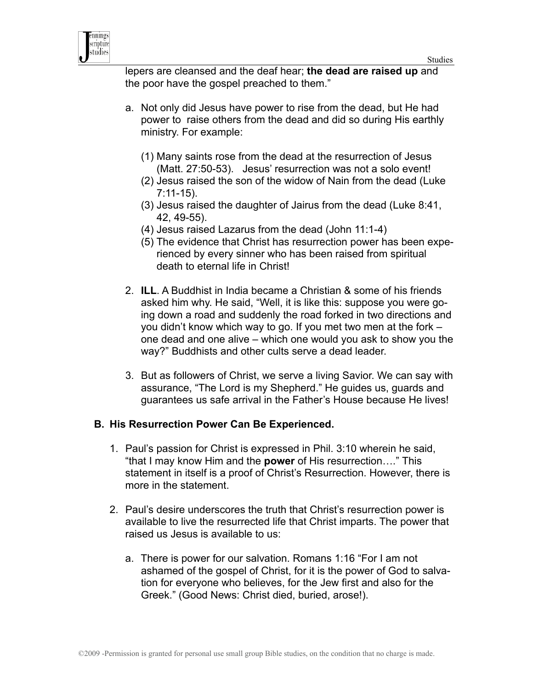

lepers are cleansed and the deaf hear; **the dead are raised up** and the poor have the gospel preached to them."

- a. Not only did Jesus have power to rise from the dead, but He had power to raise others from the dead and did so during His earthly ministry. For example:
	- (1) Many saints rose from the dead at the resurrection of Jesus (Matt. 27:50-53). Jesus' resurrection was not a solo event!
	- (2) Jesus raised the son of the widow of Nain from the dead (Luke 7:11-15).
	- (3) Jesus raised the daughter of Jairus from the dead (Luke 8:41, 42, 49-55).
	- (4) Jesus raised Lazarus from the dead (John 11:1-4)
	- (5) The evidence that Christ has resurrection power has been experienced by every sinner who has been raised from spiritual death to eternal life in Christ!
- 2. **ILL**. A Buddhist in India became a Christian & some of his friends asked him why. He said, "Well, it is like this: suppose you were going down a road and suddenly the road forked in two directions and you didn't know which way to go. If you met two men at the fork – one dead and one alive – which one would you ask to show you the way?" Buddhists and other cults serve a dead leader.
- 3. But as followers of Christ, we serve a living Savior. We can say with assurance, "The Lord is my Shepherd." He guides us, guards and guarantees us safe arrival in the Father's House because He lives!

#### **B. His Resurrection Power Can Be Experienced.**

- 1. Paul's passion for Christ is expressed in Phil. 3:10 wherein he said, "that I may know Him and the **power** of His resurrection…." This statement in itself is a proof of Christ's Resurrection. However, there is more in the statement.
- 2. Paul's desire underscores the truth that Christ's resurrection power is available to live the resurrected life that Christ imparts. The power that raised us Jesus is available to us:
	- a. There is power for our salvation. Romans 1:16 "For I am not ashamed of the gospel of Christ, for it is the power of God to salvation for everyone who believes, for the Jew first and also for the Greek." (Good News: Christ died, buried, arose!).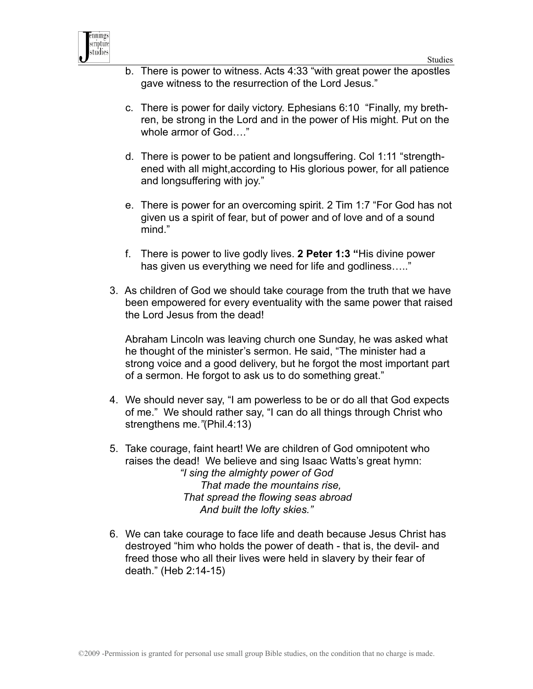

- b. There is power to witness. Acts 4:33 "with great power the apostles gave witness to the resurrection of the Lord Jesus."
- c. There is power for daily victory. Ephesians 6:10 "Finally, my brethren, be strong in the Lord and in the power of His might. Put on the whole armor of God…."
- d. There is power to be patient and longsuffering. Col 1:11 "strengthened with all might,according to His glorious power, for all patience and longsuffering with joy."
- e. There is power for an overcoming spirit. 2 Tim 1:7 "For God has not given us a spirit of fear, but of power and of love and of a sound mind."
- f. There is power to live godly lives. **2 Peter 1:3 "**His divine power has given us everything we need for life and godliness....."
- 3. As children of God we should take courage from the truth that we have been empowered for every eventuality with the same power that raised the Lord Jesus from the dead!

Abraham Lincoln was leaving church one Sunday, he was asked what he thought of the minister's sermon. He said, "The minister had a strong voice and a good delivery, but he forgot the most important part of a sermon. He forgot to ask us to do something great."

- 4. We should never say, "I am powerless to be or do all that God expects of me." We should rather say, "I can do all things through Christ who strengthens me.*"*(Phil.4:13)
- 5. Take courage, faint heart! We are children of God omnipotent who raises the dead! We believe and sing Isaac Watts's great hymn: *"I sing the almighty power of God That made the mountains rise, That spread the flowing seas abroad And built the lofty skies."*
- 6. We can take courage to face life and death because Jesus Christ has destroyed "him who holds the power of death - that is, the devil- and freed those who all their lives were held in slavery by their fear of death." (Heb 2:14-15)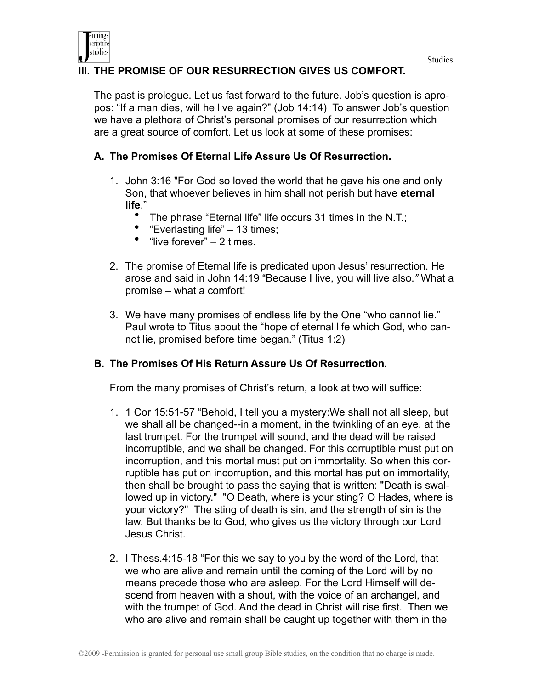

## **III. THE PROMISE OF OUR RESURRECTION GIVES US COMFORT.**

The past is prologue. Let us fast forward to the future. Job's question is apropos: "If a man dies, will he live again?" (Job 14:14) To answer Job's question we have a plethora of Christ's personal promises of our resurrection which are a great source of comfort. Let us look at some of these promises:

### **A. The Promises Of Eternal Life Assure Us Of Resurrection.**

- 1. John 3:16 "For God so loved the world that he gave his one and only Son, that whoever believes in him shall not perish but have **eternal life**."
	- The phrase "Eternal life" life occurs 31 times in the N.T.;<br>• "Everlasting life"  $-13$  times:
	- "Everlasting life" 13 times;
	- "live forever" 2 times.
- 2. The promise of Eternal life is predicated upon Jesus' resurrection. He arose and said in John 14:19 "Because I live, you will live also.*"* What a promise – what a comfort!
- 3. We have many promises of endless life by the One "who cannot lie." Paul wrote to Titus about the "hope of eternal life which God, who cannot lie, promised before time began." (Titus 1:2)

#### **B. The Promises Of His Return Assure Us Of Resurrection.**

From the many promises of Christ's return, a look at two will suffice:

- 1. 1 Cor 15:51-57 "Behold, I tell you a mystery:We shall not all sleep, but we shall all be changed--in a moment, in the twinkling of an eye, at the last trumpet. For the trumpet will sound, and the dead will be raised incorruptible, and we shall be changed. For this corruptible must put on incorruption, and this mortal must put on immortality. So when this corruptible has put on incorruption, and this mortal has put on immortality, then shall be brought to pass the saying that is written: "Death is swallowed up in victory." "O Death, where is your sting? O Hades, where is your victory?" The sting of death is sin, and the strength of sin is the law. But thanks be to God, who gives us the victory through our Lord Jesus Christ.
- 2. I Thess.4:15-18 "For this we say to you by the word of the Lord, that we who are alive and remain until the coming of the Lord will by no means precede those who are asleep. For the Lord Himself will descend from heaven with a shout, with the voice of an archangel, and with the trumpet of God. And the dead in Christ will rise first. Then we who are alive and remain shall be caught up together with them in the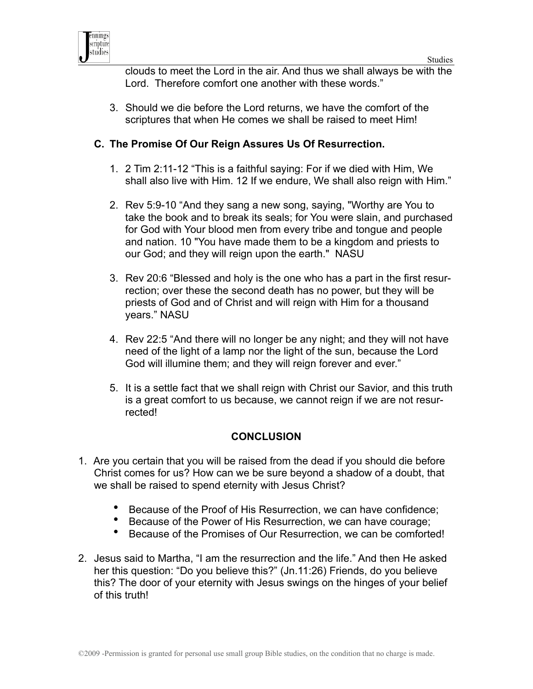



clouds to meet the Lord in the air. And thus we shall always be with the Lord. Therefore comfort one another with these words."

3. Should we die before the Lord returns, we have the comfort of the scriptures that when He comes we shall be raised to meet Him!

## **C. The Promise Of Our Reign Assures Us Of Resurrection.**

- 1. 2 Tim 2:11-12 "This is a faithful saying: For if we died with Him, We shall also live with Him. 12 If we endure, We shall also reign with Him."
- 2. Rev 5:9-10 "And they sang a new song, saying, "Worthy are You to take the book and to break its seals; for You were slain, and purchased for God with Your blood men from every tribe and tongue and people and nation. 10 "You have made them to be a kingdom and priests to our God; and they will reign upon the earth." NASU
- 3. Rev 20:6 "Blessed and holy is the one who has a part in the first resurrection; over these the second death has no power, but they will be priests of God and of Christ and will reign with Him for a thousand years." NASU
- 4. Rev 22:5 "And there will no longer be any night; and they will not have need of the light of a lamp nor the light of the sun, because the Lord God will illumine them; and they will reign forever and ever."
- 5. It is a settle fact that we shall reign with Christ our Savior, and this truth is a great comfort to us because, we cannot reign if we are not resurrected!

## **CONCLUSION**

- 1. Are you certain that you will be raised from the dead if you should die before Christ comes for us? How can we be sure beyond a shadow of a doubt, that we shall be raised to spend eternity with Jesus Christ?
	- Because of the Proof of His Resurrection, we can have confidence;
	- Because of the Power of His Resurrection, we can have courage;
	- Because of the Promises of Our Resurrection, we can be comforted!
- 2. Jesus said to Martha, "I am the resurrection and the life." And then He asked her this question: "Do you believe this?" (Jn.11:26) Friends, do you believe this? The door of your eternity with Jesus swings on the hinges of your belief of this truth!